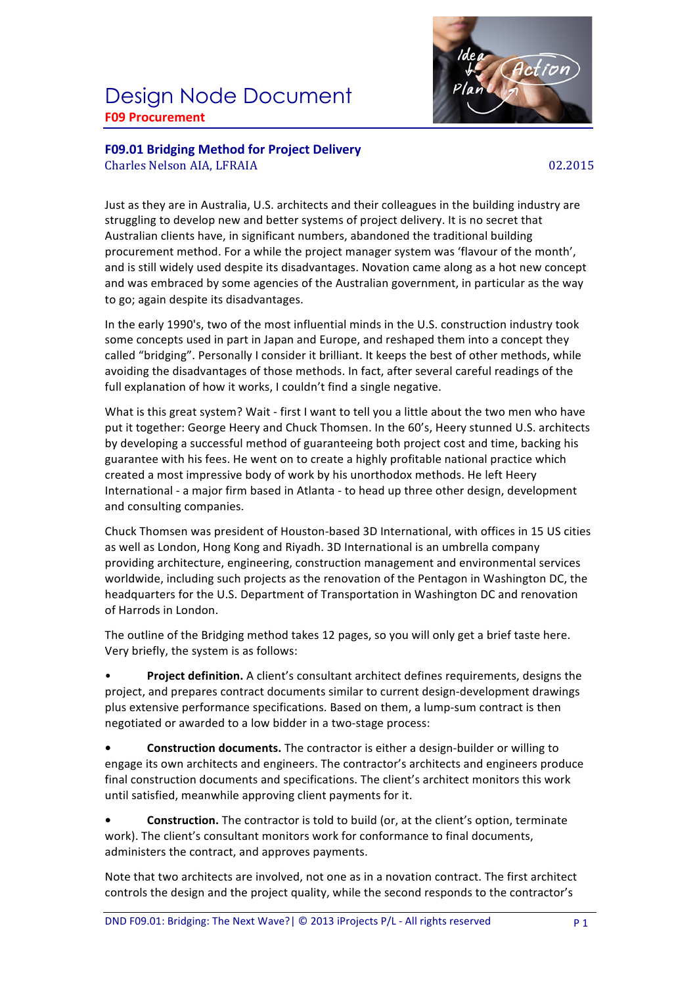## Design Node Document **F09 Procurement**



**F09.01 Bridging Method for Project Delivery** Charles Nelson AIA, LFRAIA 02.2015

Just as they are in Australia, U.S. architects and their colleagues in the building industry are struggling to develop new and better systems of project delivery. It is no secret that Australian clients have, in significant numbers, abandoned the traditional building procurement method. For a while the project manager system was 'flavour of the month', and is still widely used despite its disadvantages. Novation came along as a hot new concept and was embraced by some agencies of the Australian government, in particular as the way to go; again despite its disadvantages.

In the early 1990's, two of the most influential minds in the U.S. construction industry took some concepts used in part in Japan and Europe, and reshaped them into a concept they called "bridging". Personally I consider it brilliant. It keeps the best of other methods, while avoiding the disadvantages of those methods. In fact, after several careful readings of the full explanation of how it works, I couldn't find a single negative.

What is this great system? Wait - first I want to tell you a little about the two men who have put it together: George Heery and Chuck Thomsen. In the 60's, Heery stunned U.S. architects by developing a successful method of guaranteeing both project cost and time, backing his guarantee with his fees. He went on to create a highly profitable national practice which created a most impressive body of work by his unorthodox methods. He left Heery International - a major firm based in Atlanta - to head up three other design, development and consulting companies.

Chuck Thomsen was president of Houston-based 3D International, with offices in 15 US cities as well as London, Hong Kong and Riyadh. 3D International is an umbrella company providing architecture, engineering, construction management and environmental services worldwide, including such projects as the renovation of the Pentagon in Washington DC, the headquarters for the U.S. Department of Transportation in Washington DC and renovation of Harrods in London.

The outline of the Bridging method takes 12 pages, so you will only get a brief taste here. Very briefly, the system is as follows:

**Project definition.** A client's consultant architect defines requirements, designs the project, and prepares contract documents similar to current design-development drawings plus extensive performance specifications. Based on them, a lump-sum contract is then negotiated or awarded to a low bidder in a two-stage process:

**Construction documents.** The contractor is either a design-builder or willing to engage its own architects and engineers. The contractor's architects and engineers produce final construction documents and specifications. The client's architect monitors this work until satisfied, meanwhile approving client payments for it.

**Construction.** The contractor is told to build (or, at the client's option, terminate work). The client's consultant monitors work for conformance to final documents, administers the contract, and approves payments.

Note that two architects are involved, not one as in a novation contract. The first architect controls the design and the project quality, while the second responds to the contractor's